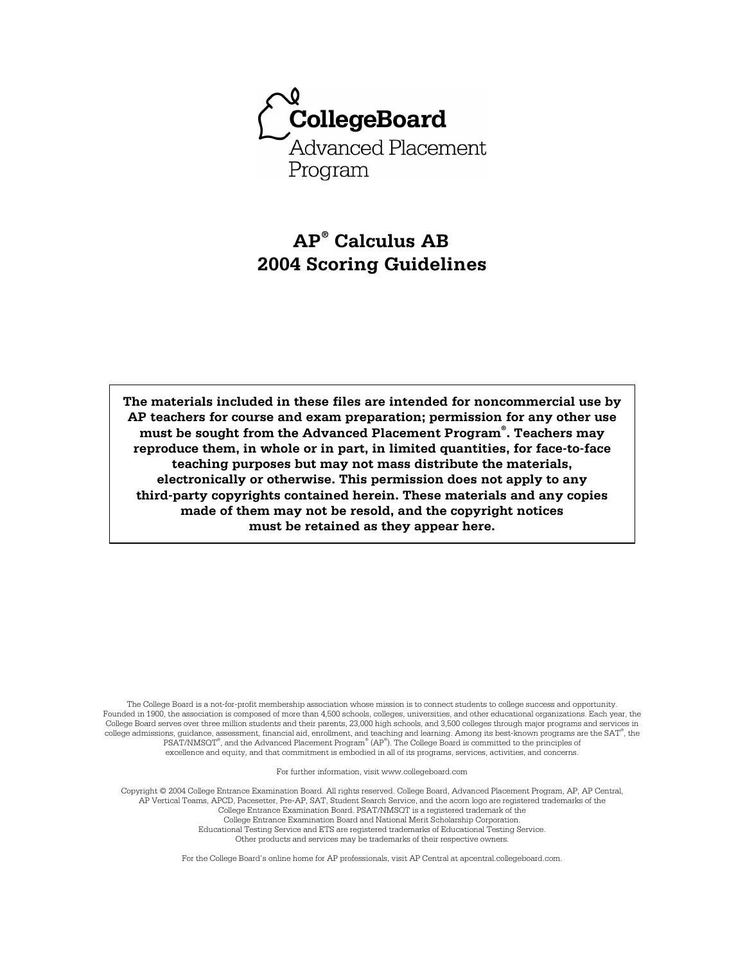

# **AP® Calculus AB 2004 Scoring Guidelines**

**The materials included in these files are intended for noncommercial use by AP teachers for course and exam preparation; permission for any other use must be sought from the Advanced Placement Program® . Teachers may reproduce them, in whole or in part, in limited quantities, for face-to-face teaching purposes but may not mass distribute the materials, electronically or otherwise. This permission does not apply to any third-party copyrights contained herein. These materials and any copies made of them may not be resold, and the copyright notices must be retained as they appear here.** 

The College Board is a not-for-profit membership association whose mission is to connect students to college success and opportunity. Founded in 1900, the association is composed of more than 4,500 schools, colleges, universities, and other educational organizations. Each year, the College Board serves over three million students and their parents, 23,000 high schools, and 3,500 colleges through major programs and services in college admissions, guidance, assessment, financial aid, enrollment, and teaching and learning. Among its best-known programs are the SAT® , the PSAT/NMSOT®, and the Advanced Placement Program® (AP®). The College Board is committed to the principles of excellence and equity, and that commitment is embodied in all of its programs, services, activities, and concerns.

For further information, visit www.collegeboard.com

Copyright © 2004 College Entrance Examination Board. All rights reserved. College Board, Advanced Placement Program, AP, AP Central, AP Vertical Teams, APCD, Pacesetter, Pre-AP, SAT, Student Search Service, and the acorn logo are registered trademarks of the College Entrance Examination Board. PSAT/NMSQT is a registered trademark of the College Entrance Examination Board and National Merit Scholarship Corporation.

Educational Testing Service and ETS are registered trademarks of Educational Testing Service. Other products and services may be trademarks of their respective owners.

For the College Board's online home for AP professionals, visit AP Central at apcentral.collegeboard.com.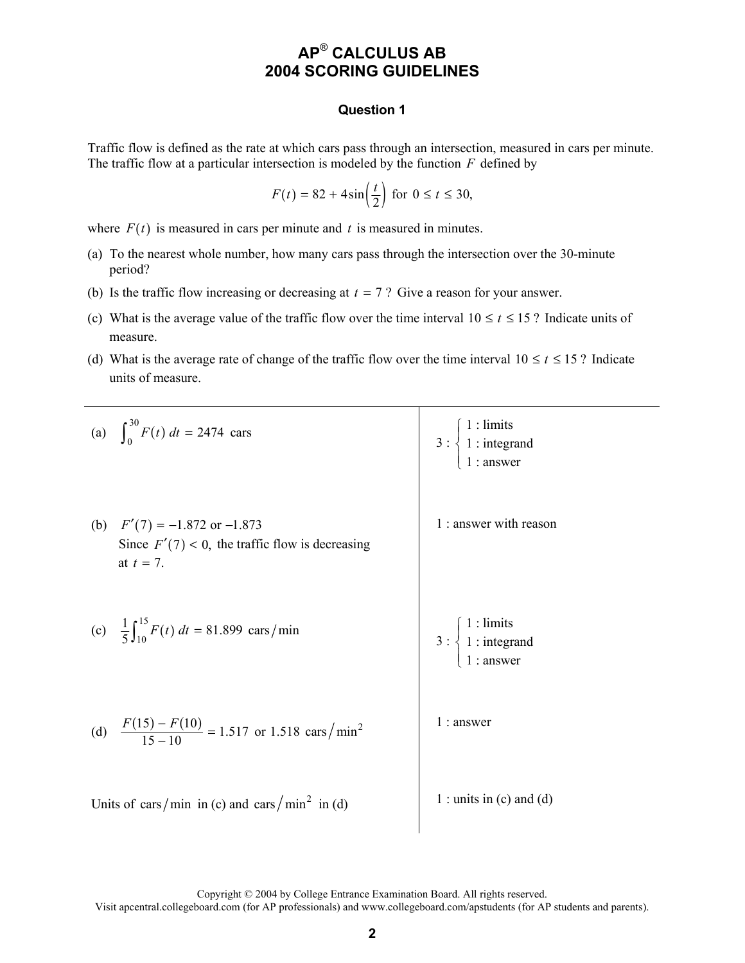### **Question 1**

Traffic flow is defined as the rate at which cars pass through an intersection, measured in cars per minute. The traffic flow at a particular intersection is modeled by the function *F* defined by

$$
F(t) = 82 + 4\sin\left(\frac{t}{2}\right) \text{ for } 0 \le t \le 30,
$$

where  $F(t)$  is measured in cars per minute and  $t$  is measured in minutes.

- (a) To the nearest whole number, how many cars pass through the intersection over the 30-minute period?
- (b) Is the traffic flow increasing or decreasing at  $t = 7$  ? Give a reason for your answer.
- (c) What is the average value of the traffic flow over the time interval  $10 \le t \le 15$ ? Indicate units of measure.
- (d) What is the average rate of change of the traffic flow over the time interval  $10 \le t \le 15$ ? Indicate units of measure.

| (a) $\int_0^{30} F(t) dt = 2474 \text{ cars}$                                                          | $3: \begin{cases} 1: \text{limits} \\ 1: \text{integrand} \\ 1: \text{answer} \end{cases}$     |
|--------------------------------------------------------------------------------------------------------|------------------------------------------------------------------------------------------------|
| (b) $F'(7) = -1.872$ or $-1.873$<br>Since $F'(7) < 0$ , the traffic flow is decreasing<br>at $t = 7$ . | 1 : answer with reason                                                                         |
| (c) $\frac{1}{5} \int_{10}^{15} F(t) dt = 81.899 \text{ cars/min}$                                     | 3 : $\begin{cases} 1 : \text{limits} \\ 1 : \text{integrand} \\ 1 : \text{answer} \end{cases}$ |
| (d) $\frac{F(15) - F(10)}{15 - 10} = 1.517$ or 1.518 cars/min <sup>2</sup>                             | $1:$ answer                                                                                    |
| Units of cars/min in (c) and cars/min <sup>2</sup> in (d)                                              | $1:$ units in (c) and (d)                                                                      |

Copyright © 2004 by College Entrance Examination Board. All rights reserved.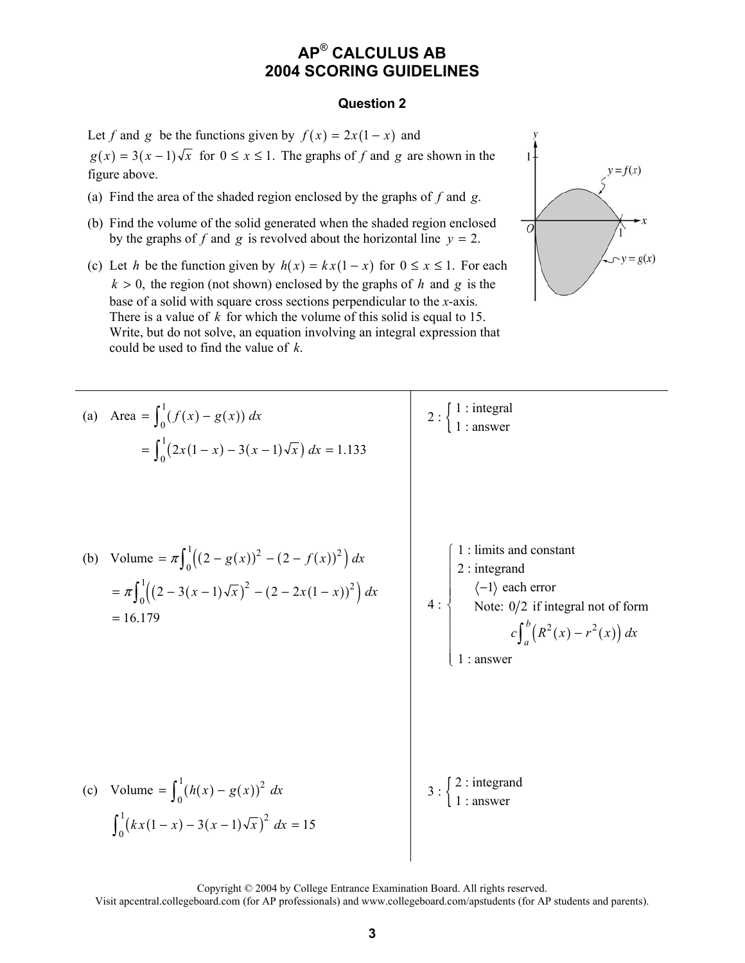#### **Question 2**

Let *f* and *g* be the functions given by  $f(x) = 2x(1-x)$  and  $g(x) = 3(x-1)\sqrt{x}$  for  $0 \le x \le 1$ . The graphs of *f* and *g* are shown in the figure above.

- (a) Find the area of the shaded region enclosed by the graphs of *f* and *g*.
- (b) Find the volume of the solid generated when the shaded region enclosed by the graphs of *f* and *g* is revolved about the horizontal line  $y = 2$ .
- (c) Let *h* be the function given by  $h(x) = kx(1-x)$  for  $0 \le x \le 1$ . For each  $k > 0$ , the region (not shown) enclosed by the graphs of *h* and *g* is the base of a solid with square cross sections perpendicular to the *x*-axis. There is a value of *k* for which the volume of this solid is equal to 15. Write, but do not solve, an equation involving an integral expression that could be used to find the value of *k*.



(a) Area = 
$$
\int_0^1 (f(x) - g(x)) dx
$$
  
\n=  $\int_0^1 (2x(1-x) - 3(x-1)\sqrt{x}) dx = 1.133$   
\n(b) Volume =  $\pi \int_0^1 ((2 - g(x))^2 - (2 - f(x))^2) dx$   
\n=  $\pi \int_0^1 ((2 - 3(x-1)\sqrt{x})^2 - (2 - 2x(1-x))^2) dx$   
\n= 16.179  
\n(c) Volume =  $\int_0^1 (h(x) - g(x))^2 dx$   
\n(d) Volume =  $\int_0^1 (h(x) - g(x))^2 dx$   
\n(e) Volume =  $\int_0^1 (h(x) - g(x))^2 dx$   
\n(f) From Eq. (2.11) and (3.12) and (4.13) and (5.24) are  
\n $\int_0^1 (h(x)(1-x) - 3(x-1)\sqrt{x})^2 dx = 15$ 

Copyright © 2004 by College Entrance Examination Board. All rights reserved.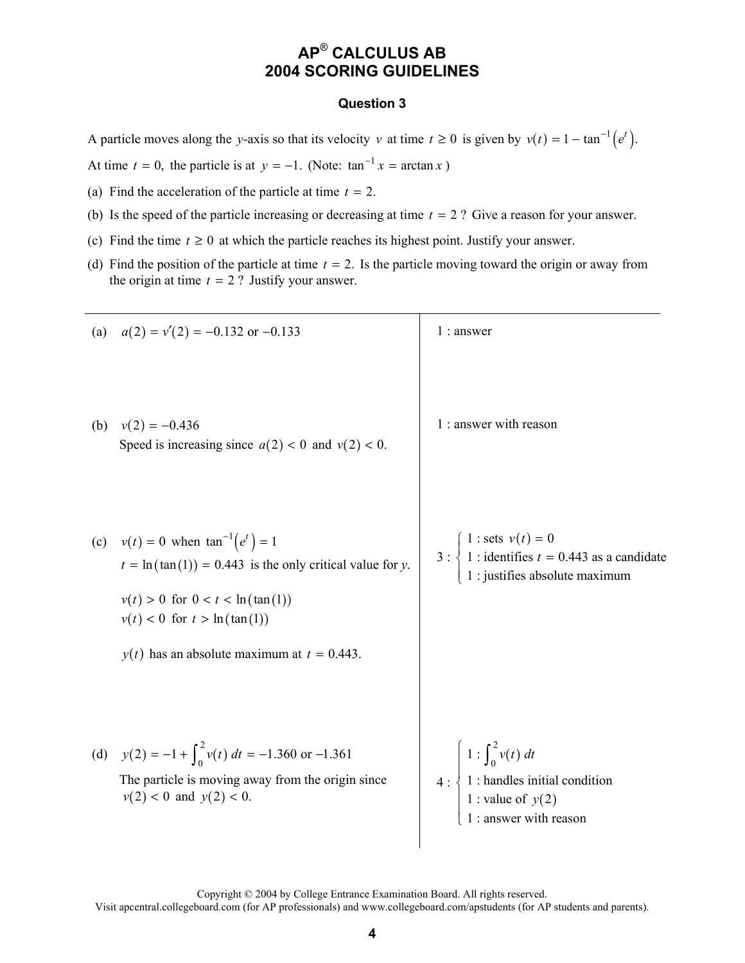### **Question 3**

A particle moves along the *y*-axis so that its velocity *v* at time  $t \ge 0$  is given by  $v(t) = 1 - \tan^{-1}(e^t)$ .

At time  $t = 0$ , the particle is at  $y = -1$ . (Note:  $\tan^{-1} x = \arctan x$ )

- (a) Find the acceleration of the particle at time  $t = 2$ .
- (b) Is the speed of the particle increasing or decreasing at time  $t = 2$ ? Give a reason for your answer.
- (c) Find the time  $t \ge 0$  at which the particle reaches its highest point. Justify your answer.
- (d) Find the position of the particle at time  $t = 2$ . Is the particle moving toward the origin or away from the origin at time  $t = 2$  ? Justify your answer.

|     | (a) $a(2) = v'(2) = -0.132$ or $-0.133$                                                                                                                                                                                                   | $1:$ answer                                                                                                                                            |
|-----|-------------------------------------------------------------------------------------------------------------------------------------------------------------------------------------------------------------------------------------------|--------------------------------------------------------------------------------------------------------------------------------------------------------|
| (b) | $v(2) = -0.436$<br>Speed is increasing since $a(2) < 0$ and $v(2) < 0$ .                                                                                                                                                                  | 1 : answer with reason                                                                                                                                 |
|     | (c) $v(t) = 0$ when $\tan^{-1}(e^t) = 1$<br>$t = \ln(\tan(1)) = 0.443$ is the only critical value for y.<br>$v(t) > 0$ for $0 < t < \ln(\tan(1))$<br>$v(t) < 0$ for $t > \ln(\tan(1))$<br>$y(t)$ has an absolute maximum at $t = 0.443$ . | 3 : $\begin{cases} 1 : \text{sets } v(t) = 0 \\ 1 : \text{identifies } t = 0.443 \text{ as a candidate} \end{cases}$<br>1 : justifies absolute maximum |
|     | (d) $y(2) = -1 + \int_0^2 v(t) dt = -1.360$ or $-1.361$<br>The particle is moving away from the origin since<br>$v(2) < 0$ and $y(2) < 0$ .                                                                                               | $1:\int_0^2 v(t) dt$<br>$4:\left\{\right.1:$ handles initial condition<br>1 : value of $y(2)$<br>1 : answer with reason                                |

Copyright © 2004 by College Entrance Examination Board. All rights reserved.

Visit apcentral.collegeboard.com (for AP professionals) and www.collegeboard.com/apstudents (for AP students and parents).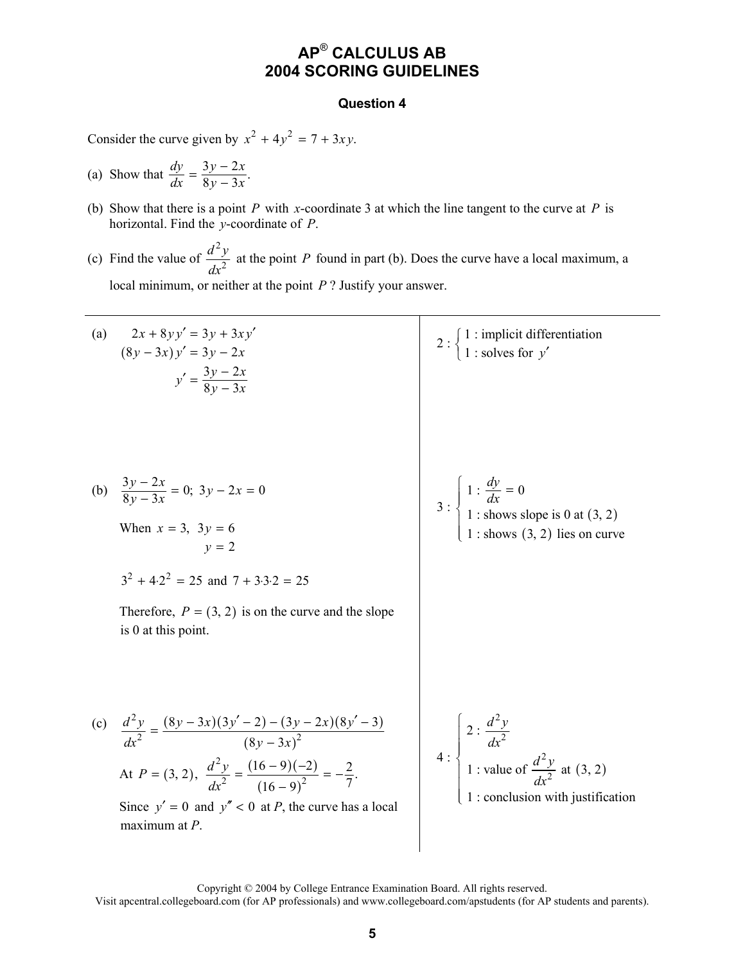### **Question 4**

Consider the curve given by  $x^2 + 4y^2 = 7 + 3xy$ .

- (a) Show that  $\frac{dy}{dx} = \frac{3y 2x}{8y 3x}$ .  $\frac{dy}{dx} = \frac{3y - 2x}{8y - 3x}$
- (b) Show that there is a point *P* with *x*-coordinate 3 at which the line tangent to the curve at *P* is horizontal. Find the *y*-coordinate of *P*.
- (c) Find the value of 2 2  $\frac{d^2y}{dx^2}$  at the point *P* found in part (b). Does the curve have a local maximum, a local minimum, or neither at the point *P* ? Justify your answer.

| (a) | $2x + 8yy' = 3y + 3xy'$<br>$(8y-3x)y' = 3y - 2x$<br>$y' = \frac{3y - 2x}{8y - 3x}$                                                                                                                                                          | 2 : $\begin{cases} 1 : \text{implicit differentiation} \\ 1 : \text{ solves for } y' \end{cases}$                                                         |
|-----|---------------------------------------------------------------------------------------------------------------------------------------------------------------------------------------------------------------------------------------------|-----------------------------------------------------------------------------------------------------------------------------------------------------------|
|     | (b) $\frac{3y-2x}{8y-3x} = 0$ ; $3y - 2x = 0$<br>When $x = 3$ , $3y = 6$<br>$v = 2$<br>$3^2 + 4.2^2 = 25$ and $7 + 3.3.2 = 25$<br>Therefore, $P = (3, 2)$ is on the curve and the slope<br>is 0 at this point.                              | 3 : $\begin{cases} 1 : \frac{dy}{dx} = 0 \\ 1 : \text{shows slope is 0 at (3, 2)} \end{cases}$<br>: shows $(3, 2)$ lies on curve                          |
|     | $\frac{d^2y}{dx^2} = \frac{(8y-3x)(3y'-2) - (3y-2x)(8y'-3)}{(8y-3x)^2}$<br>At $P = (3, 2), \frac{d^2y}{dr^2} = \frac{(16-9)(-2)}{(16-9)^2} = -\frac{2}{7}.$<br>Since $y' = 0$ and $y'' < 0$ at P, the curve has a local<br>maximum at $P$ . | 4 : $\begin{cases} 2 : \frac{d^2 y}{dx^2} \\ 1 : \text{value of } \frac{d^2 y}{dx^2} \text{ at } (3, 2) \end{cases}$<br>1 : conclusion with justification |

Copyright © 2004 by College Entrance Examination Board. All rights reserved.

Visit apcentral.collegeboard.com (for AP professionals) and www.collegeboard.com/apstudents (for AP students and parents).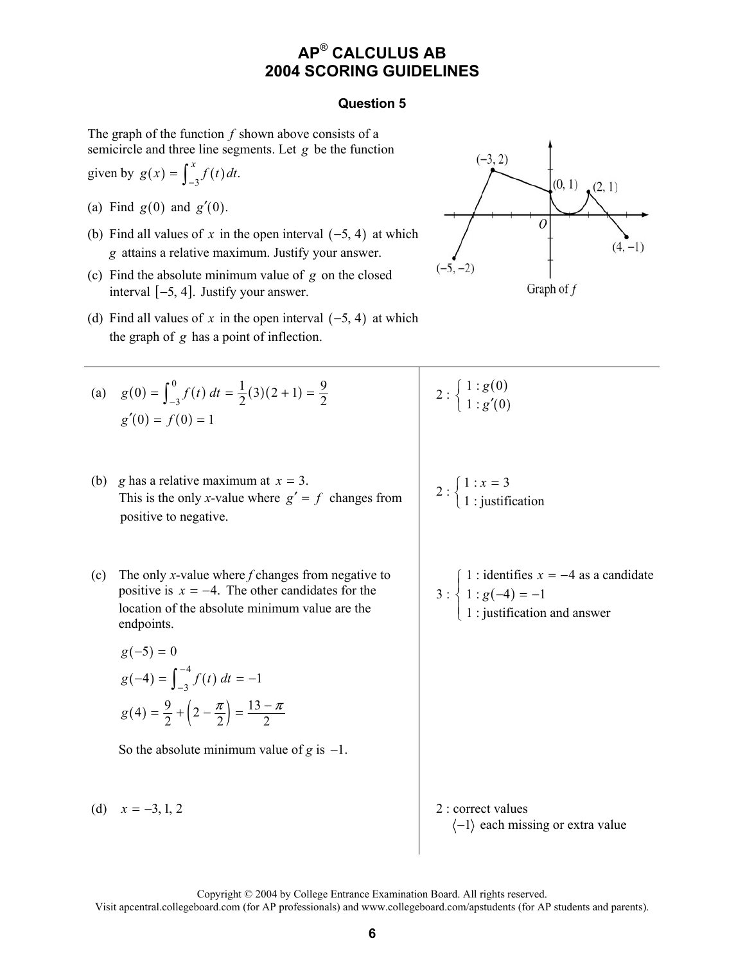### **Question 5**

The graph of the function *f* shown above consists of a semicircle and three line segments. Let *g* be the function

given by 
$$
g(x) = \int_{-3}^{x} f(t) dt
$$
.

- (a) Find  $g(0)$  and  $g'(0)$ .
- (b) Find all values of x in the open interval  $(-5, 4)$  at which *g* attains a relative maximum. Justify your answer.
- (c) Find the absolute minimum value of *g* on the closed interval  $[-5, 4]$ . Justify your answer.
- (d) Find all values of x in the open interval  $(-5, 4)$  at which the graph of *g* has a point of inflection.

(a) 
$$
g(0) = \int_{-3}^{0} f(t) dt = \frac{1}{2}(3)(2+1) = \frac{9}{2}
$$
  
 $g'(0) = f(0) = 1$ 

- (b) *g* has a relative maximum at  $x = 3$ . This is the only *x*-value where  $g' = f$  changes from positive to negative.
- (c) The only *x*-value where *f* changes from negative to positive is  $x = -4$ . The other candidates for the location of the absolute minimum value are the endpoints.

$$
g(-5) = 0
$$
  
\n
$$
g(-4) = \int_{-3}^{-4} f(t) dt = -1
$$
  
\n
$$
g(4) = \frac{9}{2} + \left(2 - \frac{\pi}{2}\right) = \frac{13 - \pi}{2}
$$

So the absolute minimum value of  $g$  is  $-1$ .

(d)  $x = -3, 1, 2$  <br>2 : correct values



 $2:\left\{\frac{1:g(0)}{1+g(0)}\right\}$  $\left( 0\right)$  $1 : g(0)$  $1 : g'(0)$ *g g*  $\int$  $\left\{ 1:g'\right\}$ 

$$
2:\begin{cases}1:x=3\\1:yustification\end{cases}
$$

3: 
$$
\begin{cases} 1: \text{identifies } x = -4 \text{ as a candidate} \\ 1: g(-4) = -1 \\ 1: \text{justification and answer} \end{cases}
$$

 $\langle -1 \rangle$  each missing or extra value

Copyright © 2004 by College Entrance Examination Board. All rights reserved.